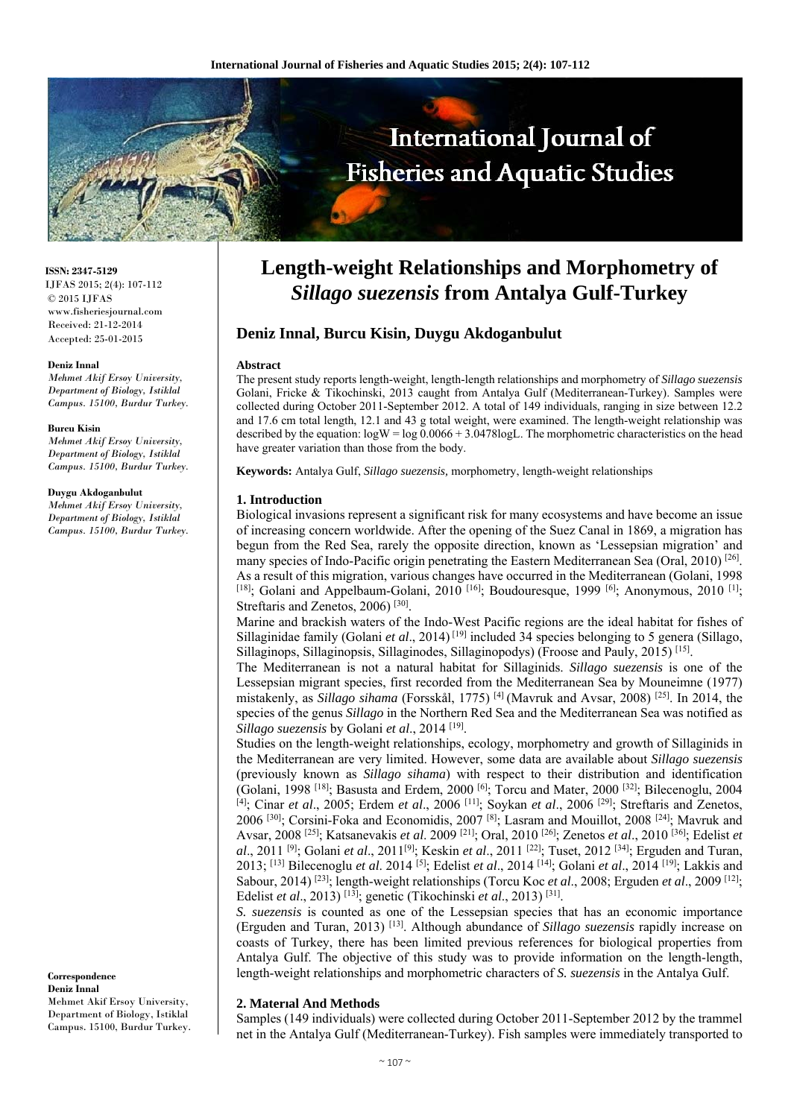

**ISSN: 2347-5129** IJFAS 2015; 2(4): 107-112 © 2015 IJFAS www.fisheriesjournal.com Received: 21-12-2014 Accepted: 25-01-2015

#### **Deniz Innal**

*Mehmet Akif Ersoy University, Department of Biology, Istiklal Campus. 15100, Burdur Turkey.* 

#### **Burcu Kisin**

*Mehmet Akif Ersoy University, Department of Biology, Istiklal Campus. 15100, Burdur Turkey.* 

#### **Duygu Akdoganbulut**

*Mehmet Akif Ersoy University, Department of Biology, Istiklal Campus. 15100, Burdur Turkey.*

**Correspondence Deniz Innal**  Mehmet Akif Ersoy University,

Department of Biology, Istiklal Campus. 15100, Burdur Turkey.

# **Length-weight Relationships and Morphometry of**  *Sillago suezensis* **from Antalya Gulf-Turkey**

# **Deniz Innal, Burcu Kisin, Duygu Akdoganbulut**

### **Abstract**

The present study reports length-weight, length-length relationships and morphometry of *Sillago suezensis* Golani, Fricke & Tikochinski, 2013 caught from Antalya Gulf (Mediterranean-Turkey). Samples were collected during October 2011-September 2012. A total of 149 individuals, ranging in size between 12.2 and 17.6 cm total length, 12.1 and 43 g total weight, were examined. The length-weight relationship was described by the equation:  $\log W = \log 0.0066 + 3.0478 \log L$ . The morphometric characteristics on the head have greater variation than those from the body.

**Keywords:** Antalya Gulf, *Sillago suezensis,* morphometry, length-weight relationships

## **1. Introduction**

Biological invasions represent a significant risk for many ecosystems and have become an issue of increasing concern worldwide. After the opening of the Suez Canal in 1869, a migration has begun from the Red Sea, rarely the opposite direction, known as 'Lessepsian migration' and many species of Indo-Pacific origin penetrating the Eastern Mediterranean Sea (Oral, 2010) [26]. As a result of this migration, various changes have occurred in the Mediterranean (Golani, 1998 [18]; Golani and Appelbaum-Golani, 2010<sup>[16]</sup>; Boudouresque, 1999<sup>[6]</sup>; Anonymous, 2010<sup>[1]</sup>; Streftaris and Zenetos, 2006)<sup>[30]</sup>.

Marine and brackish waters of the Indo-West Pacific regions are the ideal habitat for fishes of Sillaginidae family (Golani *et al*., 2014) [19] included 34 species belonging to 5 genera (Sillago, Sillaginops, Sillaginopsis, Sillaginodes, Sillaginopodys) (Froose and Pauly, 2015) [15].

The Mediterranean is not a natural habitat for Sillaginids. *Sillago suezensis* is one of the Lessepsian migrant species, first recorded from the Mediterranean Sea by Mouneimne (1977) mistakenly, as *Sillago sihama* (Forsskål, 1775) [4] (Mavruk and Avsar, 2008) [25]. In 2014, the species of the genus *Sillago* in the Northern Red Sea and the Mediterranean Sea was notified as *Sillago suezensis* by Golani *et al*., 2014 [19].

Studies on the length-weight relationships, ecology, morphometry and growth of Sillaginids in the Mediterranean are very limited. However, some data are available about *Sillago suezensis* (previously known as *Sillago sihama*) with respect to their distribution and identification (Golani, 1998 [18]; Basusta and Erdem, 2000 [6]; Torcu and Mater, 2000 [32]; Bilecenoglu, 2004 [4]; Cinar *et al*., 2005; Erdem *et al*., 2006 [11]; Soykan *et al*., 2006 [29]; Streftaris and Zenetos, 2006 [30]; Corsini-Foka and Economidis, 2007 [8]; Lasram and Mouillot, 2008 [24]; Mavruk and Avsar, 2008 [25]; Katsanevakis *et al*. 2009 [21]; Oral, 2010 [26]; Zenetos *et al*., 2010 [36]; Edelist *et al*., 2011 [9]; Golani *et al*., 2011[9]; Keskin *et al*., 2011 [22]; Tuset, 2012 [34]; Erguden and Turan, 2013; [13] Bilecenoglu *et al*. 2014 [5]; Edelist *et al*., 2014 [14]; Golani *et al*., 2014 [19]; Lakkis and Sabour, 2014) [23]; length-weight relationships (Torcu Koc *et al*., 2008; Erguden *et al*., 2009 [12]; Edelist *et al*., 2013) [13]; genetic (Tikochinski *et al*., 2013) [31].

*S. suezensis* is counted as one of the Lessepsian species that has an economic importance (Erguden and Turan, 2013) [13]. Although abundance of *Sillago suezensis* rapidly increase on coasts of Turkey, there has been limited previous references for biological properties from Antalya Gulf. The objective of this study was to provide information on the length-length, length-weight relationships and morphometric characters of *S. suezensis* in the Antalya Gulf.

## **2. Materıal And Methods**

Samples (149 individuals) were collected during October 2011-September 2012 by the trammel net in the Antalya Gulf (Mediterranean-Turkey). Fish samples were immediately transported to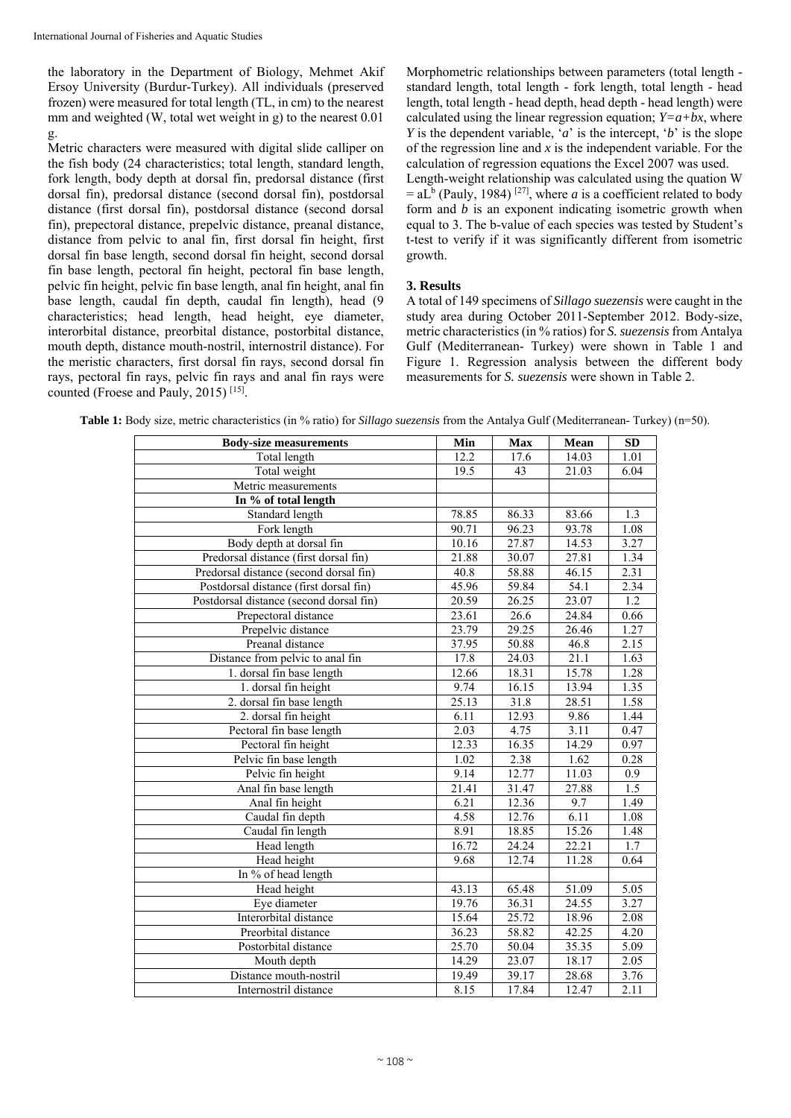the laboratory in the Department of Biology, Mehmet Akif Ersoy University (Burdur-Turkey). All individuals (preserved frozen) were measured for total length (TL, in cm) to the nearest mm and weighted (W, total wet weight in g) to the nearest 0.01 g.

Metric characters were measured with digital slide calliper on the fish body (24 characteristics; total length, standard length, fork length, body depth at dorsal fin, predorsal distance (first dorsal fin), predorsal distance (second dorsal fin), postdorsal distance (first dorsal fin), postdorsal distance (second dorsal fin), prepectoral distance, prepelvic distance, preanal distance, distance from pelvic to anal fin, first dorsal fin height, first dorsal fin base length, second dorsal fin height, second dorsal fin base length, pectoral fin height, pectoral fin base length, pelvic fin height, pelvic fin base length, anal fin height, anal fin base length, caudal fin depth, caudal fin length), head (9 characteristics; head length, head height, eye diameter, interorbital distance, preorbital distance, postorbital distance, mouth depth, distance mouth-nostril, internostril distance). For the meristic characters, first dorsal fin rays, second dorsal fin rays, pectoral fin rays, pelvic fin rays and anal fin rays were counted (Froese and Pauly, 2015) [15].

Morphometric relationships between parameters (total length standard length, total length - fork length, total length - head length, total length - head depth, head depth - head length) were calculated using the linear regression equation;  $Y=a+bx$ , where *Y* is the dependent variable, '*a*' is the intercept, '*b*' is the slope of the regression line and *x* is the independent variable. For the calculation of regression equations the Excel 2007 was used. Length-weight relationship was calculated using the quation W  $=$  aL<sup>b</sup> (Pauly, 1984)<sup>[27]</sup>, where *a* is a coefficient related to body form and *b* is an exponent indicating isometric growth when equal to 3. The b-value of each species was tested by Student's t-test to verify if it was significantly different from isometric growth.

# **3. Results**

A total of 149 specimens of *Sillago suezensis* were caught in the study area during October 2011-September 2012. Body-size, metric characteristics (in % ratios) for *S. suezensis* from Antalya Gulf (Mediterranean- Turkey) were shown in Table 1 and Figure 1. Regression analysis between the different body measurements for *S. suezensis* were shown in Table 2.

| <b>Body-size measurements</b>           | Min   | <b>Max</b> | Mean  | <b>SD</b> |
|-----------------------------------------|-------|------------|-------|-----------|
| Total length                            | 12.2  | 17.6       | 14.03 | 1.01      |
| Total weight                            | 19.5  | 43         | 21.03 | 6.04      |
| Metric measurements                     |       |            |       |           |
| In % of total length                    |       |            |       |           |
| Standard length                         | 78.85 | 86.33      | 83.66 | 1.3       |
| Fork length                             | 90.71 | 96.23      | 93.78 | 1.08      |
| Body depth at dorsal fin                | 10.16 | 27.87      | 14.53 | 3.27      |
| Predorsal distance (first dorsal fin)   | 21.88 | 30.07      | 27.81 | 1.34      |
| Predorsal distance (second dorsal fin)  | 40.8  | 58.88      | 46.15 | 2.31      |
| Postdorsal distance (first dorsal fin)  | 45.96 | 59.84      | 54.1  | 2.34      |
| Postdorsal distance (second dorsal fin) | 20.59 | 26.25      | 23.07 | 1.2       |
| Prepectoral distance                    | 23.61 | 26.6       | 24.84 | 0.66      |
| Prepelvic distance                      | 23.79 | 29.25      | 26.46 | 1.27      |
| Preanal distance                        | 37.95 | 50.88      | 46.8  | 2.15      |
| Distance from pelvic to anal fin        | 17.8  | 24.03      | 21.1  | 1.63      |
| 1. dorsal fin base length               | 12.66 | 18.31      | 15.78 | 1.28      |
| 1. dorsal fin height                    | 9.74  | 16.15      | 13.94 | 1.35      |
| 2. dorsal fin base length               | 25.13 | 31.8       | 28.51 | 1.58      |
| 2. dorsal fin height                    | 6.11  | 12.93      | 9.86  | 1.44      |
| Pectoral fin base length                | 2.03  | 4.75       | 3.11  | 0.47      |
| Pectoral fin height                     | 12.33 | 16.35      | 14.29 | 0.97      |
| Pelvic fin base length                  | 1.02  | 2.38       | 1.62  | 0.28      |
| Pelvic fin height                       | 9.14  | 12.77      | 11.03 | 0.9       |
| Anal fin base length                    | 21.41 | 31.47      | 27.88 | 1.5       |
| Anal fin height                         | 6.21  | 12.36      | 9.7   | 1.49      |
| Caudal fin depth                        | 4.58  | 12.76      | 6.11  | 1.08      |
| Caudal fin length                       | 8.91  | 18.85      | 15.26 | 1.48      |
| Head length                             | 16.72 | 24.24      | 22.21 | 1.7       |
| Head height                             | 9.68  | 12.74      | 11.28 | 0.64      |
| In % of head length                     |       |            |       |           |
| Head height                             | 43.13 | 65.48      | 51.09 | 5.05      |
| Eye diameter                            | 19.76 | 36.31      | 24.55 | 3.27      |
| Interorbital distance                   | 15.64 | 25.72      | 18.96 | 2.08      |
| Preorbital distance                     | 36.23 | 58.82      | 42.25 | 4.20      |
| Postorbital distance                    | 25.70 | 50.04      | 35.35 | 5.09      |
| Mouth depth                             | 14.29 | 23.07      | 18.17 | 2.05      |
| Distance mouth-nostril                  | 19.49 | 39.17      | 28.68 | 3.76      |
| Internostril distance                   | 8.15  | 17.84      | 12.47 | 2.11      |

**Table 1:** Body size, metric characteristics (in % ratio) for *Sillago suezensis* from the Antalya Gulf (Mediterranean- Turkey) (n=50).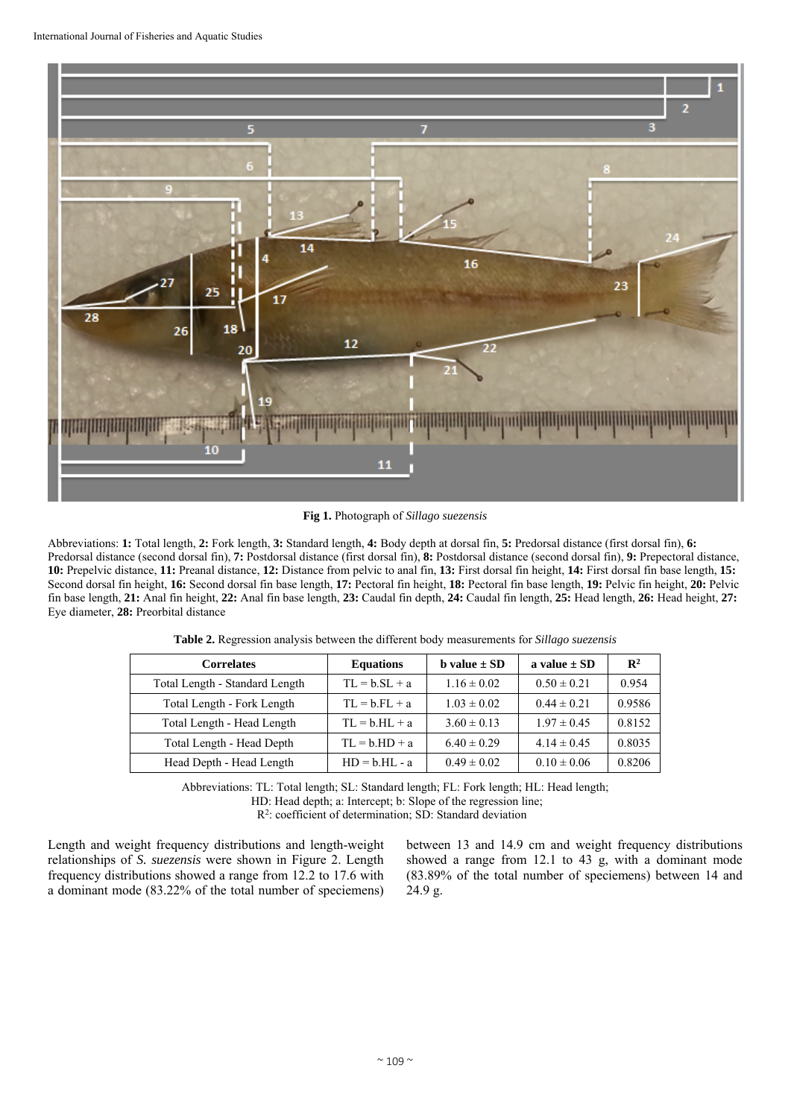

**Fig 1.** Photograph of *Sillago suezensis* 

Abbreviations: **1:** Total length, **2:** Fork length, **3:** Standard length, **4:** Body depth at dorsal fin, **5:** Predorsal distance (first dorsal fin), **6:**  Predorsal distance (second dorsal fin), **7:** Postdorsal distance (first dorsal fin), **8:** Postdorsal distance (second dorsal fin), **9:** Prepectoral distance, **10:** Prepelvic distance, **11:** Preanal distance, **12:** Distance from pelvic to anal fin, **13:** First dorsal fin height, **14:** First dorsal fin base length, **15:** Second dorsal fin height, **16:** Second dorsal fin base length, **17:** Pectoral fin height, **18:** Pectoral fin base length, **19:** Pelvic fin height, **20:** Pelvic fin base length, **21:** Anal fin height, **22:** Anal fin base length, **23:** Caudal fin depth, **24:** Caudal fin length, **25:** Head length, **26:** Head height, **27:** Eye diameter, **28:** Preorbital distance

| <b>Correlates</b>              | <b>Equations</b> | <b>b</b> value $\pm$ SD | a value $\pm$ SD | $\mathbf{R}^2$ |
|--------------------------------|------------------|-------------------------|------------------|----------------|
| Total Length - Standard Length | $TL = b.SL + a$  | $1.16 \pm 0.02$         | $0.50 \pm 0.21$  | 0.954          |
| Total Length - Fork Length     | $TL = b.FL + a$  | $1.03 \pm 0.02$         | $0.44 \pm 0.21$  | 0.9586         |
| Total Length - Head Length     | $TL = b.HL + a$  | $3.60 \pm 0.13$         | $1.97 \pm 0.45$  | 0.8152         |
| Total Length - Head Depth      | $TL = b.HD + a$  | $6.40 \pm 0.29$         | $4.14 \pm 0.45$  | 0.8035         |
| Head Depth - Head Length       | $HD = b.HL - a$  | $0.49 \pm 0.02$         | $0.10 \pm 0.06$  | 0.8206         |

**Table 2.** Regression analysis between the different body measurements for *Sillago suezensis*

Abbreviations: TL: Total length; SL: Standard length; FL: Fork length; HL: Head length; HD: Head depth; a: Intercept; b: Slope of the regression line;

R2: coefficient of determination; SD: Standard deviation

Length and weight frequency distributions and length-weight relationships of *S. suezensis* were shown in Figure 2. Length frequency distributions showed a range from 12.2 to 17.6 with a dominant mode (83.22% of the total number of speciemens)

between 13 and 14.9 cm and weight frequency distributions showed a range from 12.1 to 43 g, with a dominant mode (83.89% of the total number of speciemens) between 14 and 24.9 g.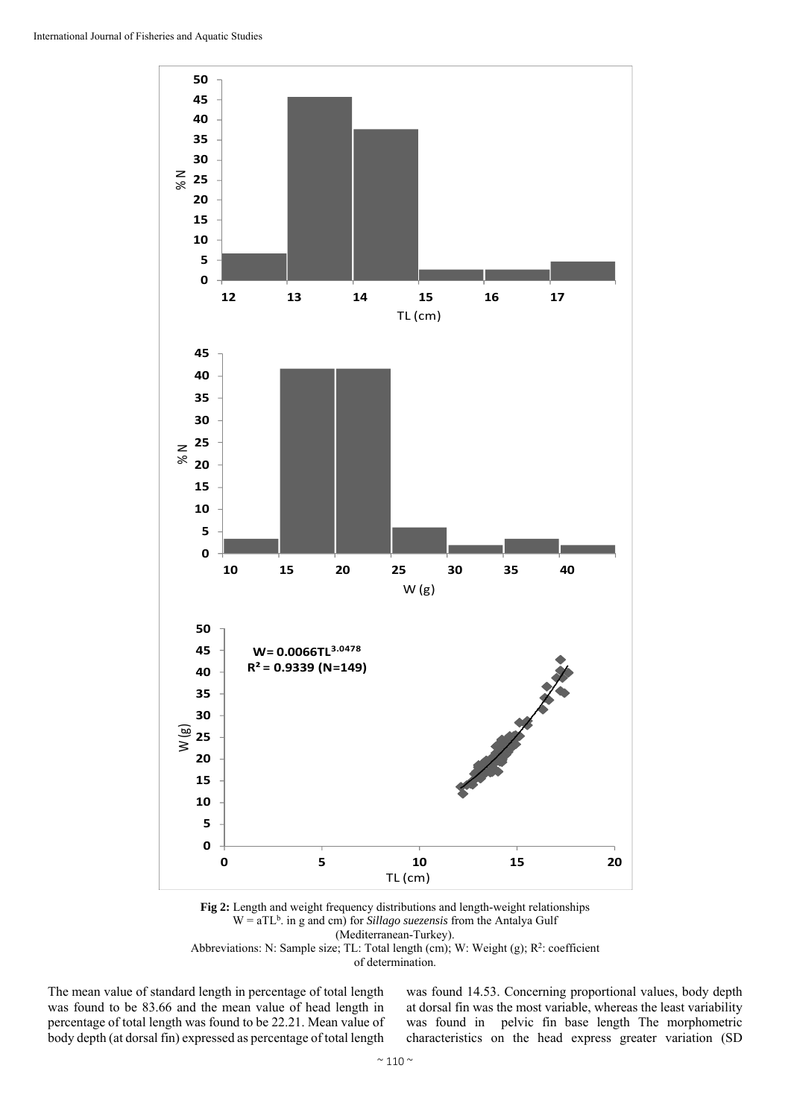

**Fig 2:** Length and weight frequency distributions and length-weight relationships W = aTL<sup>b</sup>. in g and cm) for *Sillago suezensis* from the Antalya Gulf (Mediterranean-Turkey). Abbreviations: N: Sample size; TL: Total length (cm); W: Weight (g); R<sup>2</sup>: coefficient

of determination.

The mean value of standard length in percentage of total length was found to be 83.66 and the mean value of head length in percentage of total length was found to be 22.21. Mean value of body depth (at dorsal fin) expressed as percentage of total length was found 14.53. Concerning proportional values, body depth at dorsal fin was the most variable, whereas the least variability was found in pelvic fin base length The morphometric characteristics on the head express greater variation (SD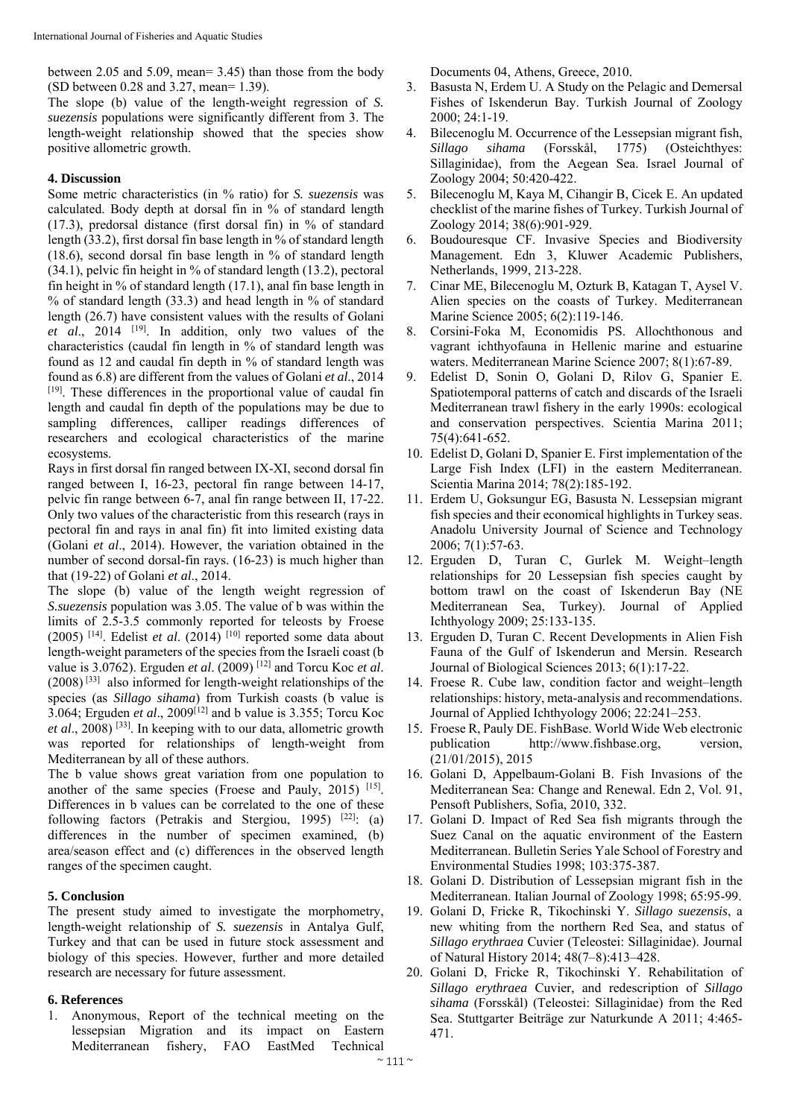between 2.05 and 5.09, mean= 3.45) than those from the body (SD between 0.28 and 3.27, mean= 1.39).

The slope (b) value of the length-weight regression of *S. suezensis* populations were significantly different from 3. The length-weight relationship showed that the species show positive allometric growth.

## **4. Discussion**

Some metric characteristics (in % ratio) for *S. suezensis* was calculated. Body depth at dorsal fin in % of standard length (17.3), predorsal distance (first dorsal fin) in % of standard length (33.2), first dorsal fin base length in % of standard length (18.6), second dorsal fin base length in % of standard length  $(34.1)$ , pelvic fin height in % of standard length  $(13.2)$ , pectoral fin height in % of standard length (17.1), anal fin base length in % of standard length (33.3) and head length in % of standard length (26.7) have consistent values with the results of Golani *et al*., 2014 [19]. In addition, only two values of the characteristics (caudal fin length in % of standard length was found as 12 and caudal fin depth in % of standard length was found as 6.8) are different from the values of Golani *et al*., 2014 [19]. These differences in the proportional value of caudal fin length and caudal fin depth of the populations may be due to sampling differences, calliper readings differences of researchers and ecological characteristics of the marine ecosystems.

Rays in first dorsal fin ranged between IX-XI, second dorsal fin ranged between I, 16-23, pectoral fin range between 14-17, pelvic fin range between 6-7, anal fin range between II, 17-22. Only two values of the characteristic from this research (rays in pectoral fin and rays in anal fin) fit into limited existing data (Golani *et al*., 2014). However, the variation obtained in the number of second dorsal-fin rays. (16-23) is much higher than that (19-22) of Golani *et al*., 2014.

The slope (b) value of the length weight regression of *S.suezensis* population was 3.05. The value of b was within the limits of 2.5-3.5 commonly reported for teleosts by Froese (2005) <sup>[14]</sup>. Edelist *et al.* (2014)<sup>[10]</sup> reported some data about length-weight parameters of the species from the Israeli coast (b value is 3.0762). Erguden *et al*. (2009) [12] and Torcu Koc *et al*.  $(2008)^{[33]}$  also informed for length-weight relationships of the species (as *Sillago sihama*) from Turkish coasts (b value is 3.064; Erguden *et al*., 2009[12] and b value is 3.355; Torcu Koc *et al*., 2008) [33]. In keeping with to our data, allometric growth was reported for relationships of length-weight from Mediterranean by all of these authors.

The b value shows great variation from one population to another of the same species (Froese and Pauly, 2015) [15]. Differences in b values can be correlated to the one of these following factors (Petrakis and Stergiou, 1995) <sup>[22]</sup>: (a) differences in the number of specimen examined, (b) area/season effect and (c) differences in the observed length ranges of the specimen caught.

# **5. Conclusion**

The present study aimed to investigate the morphometry, length-weight relationship of *S. suezensis* in Antalya Gulf, Turkey and that can be used in future stock assessment and biology of this species. However, further and more detailed research are necessary for future assessment.

# **6. References**

1. Anonymous, Report of the technical meeting on the lessepsian Migration and its impact on Eastern Mediterranean fishery, FAO EastMed Technical

Documents 04, Athens, Greece, 2010.

- 3. Basusta N, Erdem U. A Study on the Pelagic and Demersal Fishes of Iskenderun Bay. Turkish Journal of Zoology 2000; 24:1-19.
- 4. Bilecenoglu M. Occurrence of the Lessepsian migrant fish, *Sillago sihama* (Forsskål, 1775) (Osteichthyes: Sillaginidae), from the Aegean Sea. Israel Journal of Zoology 2004; 50:420-422.
- 5. Bilecenoglu M, Kaya M, Cihangir B, Cicek E. An updated checklist of the marine fishes of Turkey. Turkish Journal of Zoology 2014; 38(6):901-929.
- 6. Boudouresque CF. Invasive Species and Biodiversity Management. Edn 3, Kluwer Academic Publishers, Netherlands, 1999, 213-228.
- 7. Cinar ME, Bilecenoglu M, Ozturk B, Katagan T, Aysel V. Alien species on the coasts of Turkey. Mediterranean Marine Science 2005; 6(2):119-146.
- 8. Corsini-Foka M, Economidis PS. Allochthonous and vagrant ichthyofauna in Hellenic marine and estuarine waters. Mediterranean Marine Science 2007; 8(1):67-89.
- 9. Edelist D, Sonin O, Golani D, Rilov G, Spanier E. Spatiotemporal patterns of catch and discards of the Israeli Mediterranean trawl fishery in the early 1990s: ecological and conservation perspectives. Scientia Marina 2011; 75(4):641-652.
- 10. Edelist D, Golani D, Spanier E. First implementation of the Large Fish Index (LFI) in the eastern Mediterranean. Scientia Marina 2014; 78(2):185-192.
- 11. Erdem U, Goksungur EG, Basusta N. Lessepsian migrant fish species and their economical highlights in Turkey seas. Anadolu University Journal of Science and Technology 2006; 7(1):57-63.
- 12. Erguden D, Turan C, Gurlek M. Weight–length relationships for 20 Lessepsian fish species caught by bottom trawl on the coast of Iskenderun Bay (NE Mediterranean Sea, Turkey). Journal of Applied Ichthyology 2009; 25:133-135.
- 13. Erguden D, Turan C. Recent Developments in Alien Fish Fauna of the Gulf of Iskenderun and Mersin. Research Journal of Biological Sciences 2013; 6(1):17-22.
- 14. Froese R. Cube law, condition factor and weight–length relationships: history, meta-analysis and recommendations. Journal of Applied Ichthyology 2006; 22:241–253.
- 15. Froese R, Pauly DE. FishBase. World Wide Web electronic publication http://www.fishbase.org, version, (21/01/2015), 2015
- 16. Golani D, Appelbaum-Golani B. Fish Invasions of the Mediterranean Sea: Change and Renewal. Edn 2, Vol. 91, Pensoft Publishers, Sofia, 2010, 332.
- 17. Golani D. Impact of Red Sea fish migrants through the Suez Canal on the aquatic environment of the Eastern Mediterranean. Bulletin Series Yale School of Forestry and Environmental Studies 1998; 103:375-387.
- 18. Golani D. Distribution of Lessepsian migrant fish in the Mediterranean. Italian Journal of Zoology 1998; 65:95-99.
- 19. Golani D, Fricke R, Tikochinski Y. *Sillago suezensis*, a new whiting from the northern Red Sea, and status of *Sillago erythraea* Cuvier (Teleostei: Sillaginidae). Journal of Natural History 2014; 48(7–8):413–428.
- 20. Golani D, Fricke R, Tikochinski Y. Rehabilitation of *Sillago erythraea* Cuvier, and redescription of *Sillago sihama* (Forsskål) (Teleostei: Sillaginidae) from the Red Sea. Stuttgarter Beiträge zur Naturkunde A 2011; 4:465- 471.